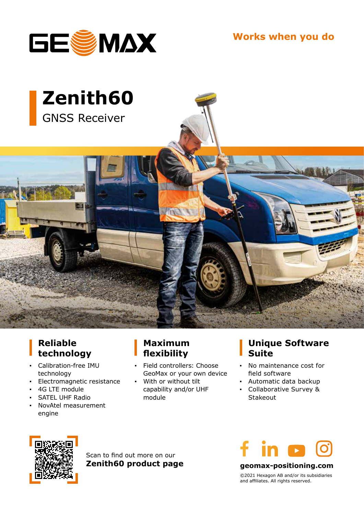

**Works when you do**



### **Reliable technology**

- **▪** Calibration-free IMU technology
- **▪** Electromagnetic resistance
- **▪** 4G LTE module
- **▪** SATEL UHF Radio
- **▪** NovAtel measurement engine

#### **Maximum flexibility**

- **Field controllers: Choose** GeoMax or your own device
- **▪** With or without tilt capability and/or UHF module

#### **Unique Software Suite**

- **▪** No maintenance cost for field software
- **▪** Automatic data backup
- **▪** Collaborative Survey & Stakeout



Scan to find out more on our **Zenith60 product page**



**geomax-positioning.com**

©2021 Hexagon AB and/or its subsidiaries and affiliates. All rights reserved.